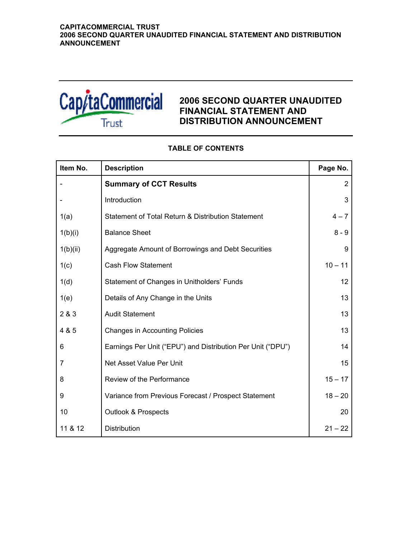

## **2006 SECOND QUARTER UNAUDITED FINANCIAL STATEMENT AND DISTRIBUTION ANNOUNCEMENT**

# **Item No.** Description **Page No. Page No.** - **Summary of CCT Results** 2 - Introduction 3 and 3 and 3 and 3 and 3 and 3 and 3 and 3 and 3 and 3 and 3 and 3 and 3 and 3 and 3 and 3 and 3 and 3 and 3 and 3 and 3 and 3 and 3 and 3 and 3 and 3 and 3 and 3 and 3 and 3 and 3 and 3 and 3 and 3 and 3 a 1(a) Statement of Total Return & Distribution Statement | 4-7  $1(b)(i)$  Balance Sheet 8 - 9 1(b)(ii) Aggregate Amount of Borrowings and Debt Securities 9 1(c) Cash Flow Statement 10 – 11 1(d) Statement of Changes in Unitholders' Funds 12 12 1(e) Details of Any Change in the Units 13 2 & 3 Audit Statement 13 4 & 5 Changes in Accounting Policies 13 6 **Earnings Per Unit ("EPU") and Distribution Per Unit ("DPU")** 14 7 **Net Asset Value Per Unit 15** 15 8 Review of the Performance **15 – 17** and 15 – 17 9 Variance from Previous Forecast / Prospect Statement 18 – 20 10 **Outlook & Prospects** 20 **Outlook & Prospects** 20 11 & 12 Distribution 21 – 22

## **TABLE OF CONTENTS**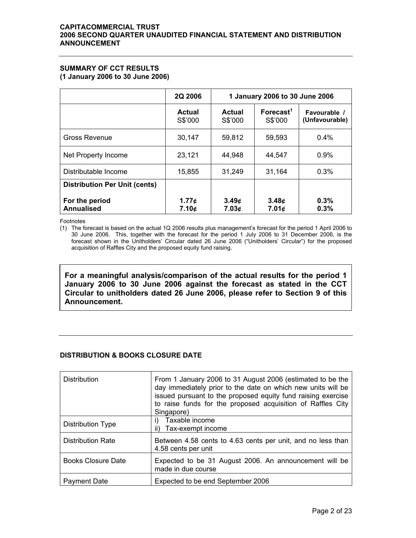## **SUMMARY OF CCT RESULTS**

**(1 January 2006 to 30 June 2006)** 

|                                      | 2Q 2006                  |                   | 1 January 2006 to 30 June 2006   |                                |
|--------------------------------------|--------------------------|-------------------|----------------------------------|--------------------------------|
|                                      | <b>Actual</b><br>S\$'000 | Actual<br>S\$'000 | Forecast <sup>1</sup><br>S\$'000 | Favourable /<br>(Unfavourable) |
| Gross Revenue                        | 30,147                   | 59,812            | 59,593                           | $0.4\%$                        |
| Net Property Income                  | 23,121                   | 44,948            | 44,547                           | 0.9%                           |
| Distributable Income                 | 15,855                   | 31,249            | 31,164                           | 0.3%                           |
| <b>Distribution Per Unit (cents)</b> |                          |                   |                                  |                                |
| For the period<br><b>Annualised</b>  | 1.77c<br>7.10¢           | 3.49c<br>7.03c    | 3.48 <sub>¢</sub><br>7.01¢       | 0.3%<br>0.3%                   |

Footnotes

(1) The forecast is based on the actual 1Q 2006 results plus management's forecast for the period 1 April 2006 to 30 June 2006. This, together with the forecast for the period 1 July 2006 to 31 December 2006, is the forecast shown in the Unitholders' Circular dated 26 June 2006 ("Unitholders' Circular") for the proposed acquisition of Raffles City and the proposed equity fund raising.

**For a meaningful analysis/comparison of the actual results for the period 1 January 2006 to 30 June 2006 against the forecast as stated in the CCT Circular to unitholders dated 26 June 2006, please refer to Section 9 of this Announcement.** 

## **DISTRIBUTION & BOOKS CLOSURE DATE**

| <b>Distribution</b>       | From 1 January 2006 to 31 August 2006 (estimated to be the<br>day immediately prior to the date on which new units will be<br>issued pursuant to the proposed equity fund raising exercise<br>to raise funds for the proposed acquisition of Raffles City<br>Singapore) |
|---------------------------|-------------------------------------------------------------------------------------------------------------------------------------------------------------------------------------------------------------------------------------------------------------------------|
| <b>Distribution Type</b>  | Taxable income<br>i)<br>Tax-exempt income<br>ii)                                                                                                                                                                                                                        |
| <b>Distribution Rate</b>  | Between 4.58 cents to 4.63 cents per unit, and no less than<br>4.58 cents per unit                                                                                                                                                                                      |
| <b>Books Closure Date</b> | Expected to be 31 August 2006. An announcement will be<br>made in due course                                                                                                                                                                                            |
| <b>Payment Date</b>       | Expected to be end September 2006                                                                                                                                                                                                                                       |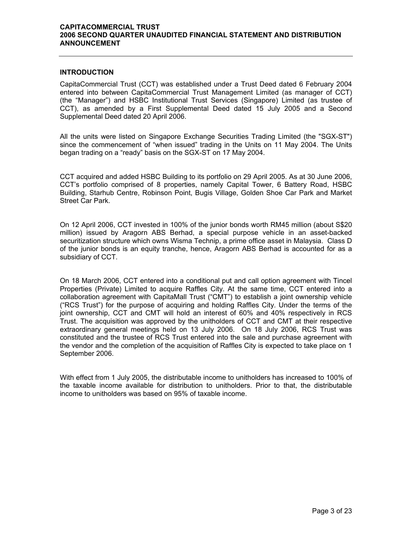#### **INTRODUCTION**

CapitaCommercial Trust (CCT) was established under a Trust Deed dated 6 February 2004 entered into between CapitaCommercial Trust Management Limited (as manager of CCT) (the "Manager") and HSBC Institutional Trust Services (Singapore) Limited (as trustee of CCT), as amended by a First Supplemental Deed dated 15 July 2005 and a Second Supplemental Deed dated 20 April 2006.

All the units were listed on Singapore Exchange Securities Trading Limited (the "SGX-ST") since the commencement of "when issued" trading in the Units on 11 May 2004. The Units began trading on a "ready" basis on the SGX-ST on 17 May 2004.

CCT acquired and added HSBC Building to its portfolio on 29 April 2005. As at 30 June 2006, CCT's portfolio comprised of 8 properties, namely Capital Tower, 6 Battery Road, HSBC Building, Starhub Centre, Robinson Point, Bugis Village, Golden Shoe Car Park and Market Street Car Park.

On 12 April 2006, CCT invested in 100% of the junior bonds worth RM45 million (about S\$20 million) issued by Aragorn ABS Berhad, a special purpose vehicle in an asset-backed securitization structure which owns Wisma Technip, a prime office asset in Malaysia. Class D of the junior bonds is an equity tranche, hence, Aragorn ABS Berhad is accounted for as a subsidiary of CCT.

On 18 March 2006, CCT entered into a conditional put and call option agreement with Tincel Properties (Private) Limited to acquire Raffles City. At the same time, CCT entered into a collaboration agreement with CapitaMall Trust ("CMT") to establish a joint ownership vehicle ("RCS Trust") for the purpose of acquiring and holding Raffles City. Under the terms of the joint ownership, CCT and CMT will hold an interest of 60% and 40% respectively in RCS Trust. The acquisition was approved by the unitholders of CCT and CMT at their respective extraordinary general meetings held on 13 July 2006. On 18 July 2006, RCS Trust was constituted and the trustee of RCS Trust entered into the sale and purchase agreement with the vendor and the completion of the acquisition of Raffles City is expected to take place on 1 September 2006.

With effect from 1 July 2005, the distributable income to unitholders has increased to 100% of the taxable income available for distribution to unitholders. Prior to that, the distributable income to unitholders was based on 95% of taxable income.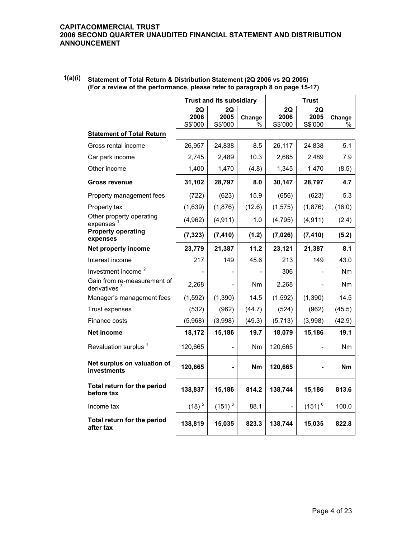|                                                         |                       | <b>Trust and its subsidiary</b> |             |                          | Trust                 |                |  |
|---------------------------------------------------------|-----------------------|---------------------------------|-------------|--------------------------|-----------------------|----------------|--|
|                                                         | 2Q<br>2006<br>S\$'000 | 2Q<br>2005<br>S\$'000           | Change<br>% | 2Q<br>2006<br>S\$'000    | 2Q<br>2005<br>S\$'000 | Change<br>%    |  |
| <b>Statement of Total Return</b>                        |                       |                                 |             |                          |                       |                |  |
| Gross rental income                                     | 26,957                | 24,838                          | 8.5         | 26,117                   | 24,838                | 5.1            |  |
| Car park income                                         | 2,745                 | 2,489                           | 10.3        | 2,685                    | 2,489                 | 7.9            |  |
| Other income                                            | 1,400                 | 1,470                           | (4.8)       | 1,345                    | 1,470                 | (8.5)          |  |
| <b>Gross revenue</b>                                    | 31,102                | 28,797                          | 8.0         | 30,147                   | 28,797                | 4.7            |  |
| Property management fees                                | (722)                 | (623)                           | 15.9        | (656)                    | (623)                 | 5.3            |  |
| Property tax                                            | (1,639)               | (1,876)                         | (12.6)      | (1, 575)                 | (1,876)               | (16.0)         |  |
| Other property operating<br>expenses                    | (4,962)               | (4, 911)                        | 1.0         | (4, 795)                 | (4, 911)              | (2.4)          |  |
| <b>Property operating</b><br>expenses                   | (7, 323)              | (7, 410)                        | (1.2)       | (7,026)                  | (7, 410)              | (5.2)          |  |
| Net property income                                     | 23,779                | 21,387                          | 11.2        | 23,121                   | 21,387                | 8.1            |  |
| Interest income                                         | 217                   | 149                             | 45.6        | 213                      | 149                   | 43.0           |  |
| Investment income <sup>2</sup>                          |                       |                                 |             | 306                      |                       | N <sub>m</sub> |  |
| Gain from re-measurement of<br>derivatives <sup>3</sup> | 2,268                 |                                 | Nm          | 2,268                    |                       | Nm             |  |
| Manager's management fees                               | (1, 592)              | (1, 390)                        | 14.5        | (1,592)                  | (1, 390)              | 14.5           |  |
| Trust expenses                                          | (532)                 | (962)                           | (44.7)      | (524)                    | (962)                 | (45.5)         |  |
| Finance costs                                           | (5,968)               | (3,998)                         | (49.3)      | (5,713)                  | (3,998)               | (42.9)         |  |
| Net income                                              | 18,172                | 15,186                          | 19.7        | 18,079                   | 15,186                | 19.1           |  |
| Revaluation surplus <sup>4</sup>                        | 120,665               |                                 | Nm          | 120,665                  |                       | Nm             |  |
| Net surplus on valuation of<br>investments              | 120,665               |                                 | <b>Nm</b>   | 120,665                  |                       | Nm             |  |
| Total return for the period<br>before tax               | 138,837               | 15,186                          | 814.2       | 138,744                  | 15,186                | 813.6          |  |
| Income tax                                              | $(18)^5$              | $(151)^6$                       | 88.1        | $\overline{\phantom{0}}$ | $(151)^{6}$           | 100.0          |  |
| Total return for the period<br>after tax                | 138,819               | 15,035                          | 823.3       | 138,744                  | 15,035                | 822.8          |  |

## **1(a)(i) Statement of Total Return & Distribution Statement (2Q 2006 vs 2Q 2005) (For a review of the performance, please refer to paragraph 8 on page 15-17)**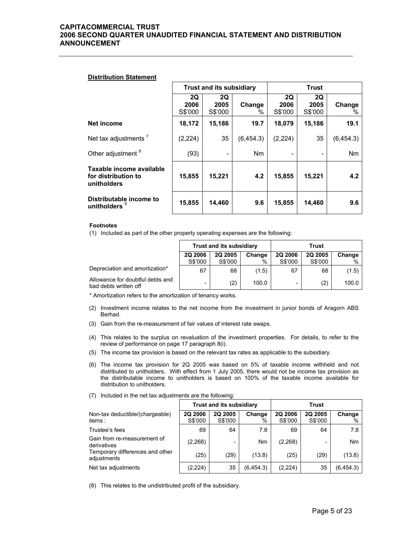#### **Distribution Statement**

|                                                                |                       | <b>Trust and its subsidiary</b> |                |                       | <b>Trust</b>          |                |  |
|----------------------------------------------------------------|-----------------------|---------------------------------|----------------|-----------------------|-----------------------|----------------|--|
|                                                                | 2Q<br>2006<br>S\$'000 | 2Q<br>2005<br>S\$'000           | Change<br>$\%$ | 2Q<br>2006<br>S\$'000 | 2Q<br>2005<br>S\$'000 | Change<br>%    |  |
| Net income                                                     | 18,172                | 15,186                          | 19.7           | 18,079                | 15,186                | 19.1           |  |
| Net tax adjustments $7$                                        | (2, 224)              | 35                              | (6, 454.3)     | (2, 224)              | 35                    | (6, 454.3)     |  |
| Other adjustment <sup>8</sup>                                  | (93)                  | ۰                               | <b>Nm</b>      |                       |                       | N <sub>m</sub> |  |
| Taxable income available<br>for distribution to<br>unitholders | 15,855                | 15,221                          | 4.2            | 15,855                | 15,221                | 4.2            |  |
| Distributable income to<br>unitholders                         | 15,855                | 14,460                          | 9.6            | 15,855                | 14,460                | 9.6            |  |

#### **Footnotes**

(1) Included as part of the other property operating expenses are the following:

|                                                           | <b>Trust and its subsidiary</b>     |         |       | Trust              |         |        |  |
|-----------------------------------------------------------|-------------------------------------|---------|-------|--------------------|---------|--------|--|
|                                                           | 2Q 2006<br><b>2Q 2005</b><br>Change |         |       | 2Q 2006<br>2Q 2005 |         | Change |  |
|                                                           | S\$'000                             | S\$'000 | %     | S\$'000            | S\$'000 | %      |  |
| Depreciation and amortization*                            | 67                                  | 68      | (1.5) | 67                 | 68      | (1.5)  |  |
| Allowance for doubtful debts and<br>bad debts written off | -                                   | (2)     | 100.0 |                    | (2)     | 100.0  |  |

\* Amortization refers to the amortization of tenancy works.

- (2) Investment income relates to the net income from the investment in junior bonds of Aragorn ABS Berhad.
- (3) Gain from the re-measurement of fair values of interest rate swaps.
- (4) This relates to the surplus on revaluation of the investment properties. For details, to refer to the review of performance on page 17 paragraph 8(i).
- (5) The income tax provision is based on the relevant tax rates as applicable to the subsidiary.
- (6) The income tax provision for 2Q 2005 was based on 5% of taxable income withheld and not distributed to unitholders. With effect from 1 July 2005, there would not be income tax provision as the distributable income to unitholders is based on 100% of the taxable income available for distribution to unitholders.

|                                                |                           | <b>Trust and its subsidiary</b> |             | Trust                     |                           |                |  |  |
|------------------------------------------------|---------------------------|---------------------------------|-------------|---------------------------|---------------------------|----------------|--|--|
| Non-tax deductible/(chargeable)<br>items :     | <b>2Q 2006</b><br>S\$'000 | 2Q 2005<br>S\$'000              | Change<br>% | <b>2Q 2006</b><br>S\$'000 | <b>2Q 2005</b><br>S\$'000 | Change<br>$\%$ |  |  |
| Trustee's fees                                 | 69                        | 64                              | 7.8         | 69                        | 64                        | 7.8            |  |  |
| Gain from re-measurement of<br>derivatives     | (2,268)                   |                                 | Nm          | (2,268)                   |                           | <b>Nm</b>      |  |  |
| Temporary differences and other<br>adjustments | (25)                      | (29)                            | (13.8)      | (25)                      | (29)                      | (13.8)         |  |  |
| Net tax adjustments                            | (2, 224)                  | 35                              | (6, 454.3)  | (2, 224)                  | 35                        | (6, 454.3)     |  |  |

(7) Included in the net tax adjustments are the following:

(8) This relates to the undistributed profit of the subsidiary.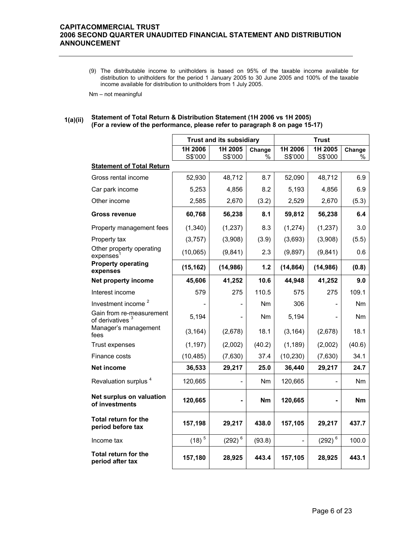(9) The distributable income to unitholders is based on 95% of the taxable income available for distribution to unitholders for the period 1 January 2005 to 30 June 2005 and 100% of the taxable income available for distribution to unitholders from 1 July 2005.

Nm – not meaningful

#### **1(a)(ii) Statement of Total Return & Distribution Statement (1H 2006 vs 1H 2005) (For a review of the performance, please refer to paragraph 8 on page 15-17)**

|                                                         |                    | <b>Trust and its subsidiary</b> |                |                    | <b>Trust</b>               |                |
|---------------------------------------------------------|--------------------|---------------------------------|----------------|--------------------|----------------------------|----------------|
|                                                         | 1H 2006<br>S\$'000 | 1H 2005<br>S\$'000              | Change<br>℅    | 1H 2006<br>S\$'000 | 1H 2005<br>S\$'000         | Change<br>℅    |
| <b>Statement of Total Return</b>                        |                    |                                 |                |                    |                            |                |
| Gross rental income                                     | 52,930             | 48,712                          | 8.7            | 52,090             | 48,712                     | 6.9            |
| Car park income                                         | 5,253              | 4,856                           | 8.2            | 5,193              | 4,856                      | 6.9            |
| Other income                                            | 2,585              | 2,670                           | (3.2)          | 2,529              | 2,670                      | (5.3)          |
| <b>Gross revenue</b>                                    | 60,768             | 56,238                          | 8.1            | 59,812             | 56,238                     | 6.4            |
| Property management fees                                | (1,340)            | (1,237)                         | 8.3            | (1, 274)           | (1, 237)                   | 3.0            |
| Property tax                                            | (3,757)            | (3,908)                         | (3.9)          | (3,693)            | (3,908)                    | (5.5)          |
| Other property operating<br>expenses <sup>1</sup>       | (10,065)           | (9,841)                         | 2.3            | (9,897)            | (9,841)                    | 0.6            |
| <b>Property operating</b><br>expenses                   | (15, 162)          | (14, 986)                       | $1.2$          | (14, 864)          | (14, 986)                  | (0.8)          |
| Net property income                                     | 45,606             | 41,252                          | 10.6           | 44,948             | 41,252                     | 9.0            |
| Interest income                                         | 579                | 275                             | 110.5          | 575                | 275                        | 109.1          |
| Investment income <sup>2</sup>                          |                    |                                 | N <sub>m</sub> | 306                |                            | N <sub>m</sub> |
| Gain from re-measurement<br>of derivatives <sup>3</sup> | 5,194              |                                 | Nm             | 5,194              |                            | Nm             |
| Manager's management<br>fees                            | (3, 164)           | (2,678)                         | 18.1           | (3, 164)           | (2,678)                    | 18.1           |
| Trust expenses                                          | (1, 197)           | (2,002)                         | (40.2)         | (1, 189)           | (2,002)                    | (40.6)         |
| Finance costs                                           | (10, 485)          | (7,630)                         | 37.4           | (10, 230)          | (7,630)                    | 34.1           |
| Net income                                              | 36,533             | 29,217                          | 25.0           | 36,440             | 29,217                     | 24.7           |
| Revaluation surplus <sup>4</sup>                        | 120,665            |                                 | Nm             | 120,665            |                            | Nm             |
| Net surplus on valuation<br>of investments              | 120,665            |                                 | <b>Nm</b>      | 120,665            |                            | <b>Nm</b>      |
| Total return for the<br>period before tax               | 157,198            | 29,217                          | 438.0          | 157,105            | 29,217                     | 437.7          |
| Income tax                                              | $(18)^{5}$         | $(292)^6$                       | (93.8)         | $\overline{a}$     | $\left( 292\right) {}^{6}$ | 100.0          |
| <b>Total return for the</b><br>period after tax         | 157,180            | 28,925                          | 443.4          | 157,105            | 28,925                     | 443.1          |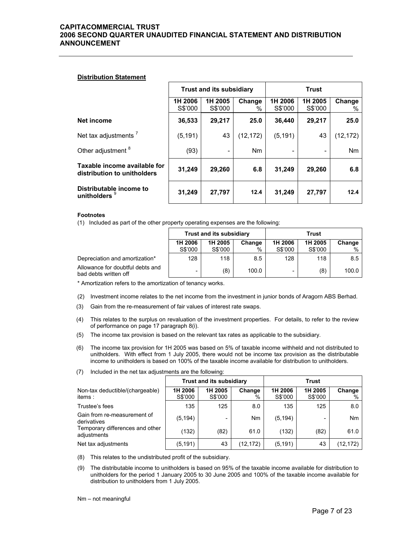#### **Distribution Statement**

|                                                             |                    | <b>Trust and its subsidiary</b> |             | <b>Trust</b>       |                    |                |  |
|-------------------------------------------------------------|--------------------|---------------------------------|-------------|--------------------|--------------------|----------------|--|
|                                                             | 1H 2006<br>S\$'000 | 1H 2005<br>S\$'000              | Change<br>% | 1H 2006<br>S\$'000 | 1H 2005<br>S\$'000 | Change<br>%    |  |
| Net income                                                  | 36,533             | 29,217                          | 25.0        | 36,440             | 29,217             | 25.0           |  |
| Net tax adjustments <sup>7</sup>                            | (5, 191)           | 43                              | (12, 172)   | (5, 191)           | 43                 | (12, 172)      |  |
| Other adjustment <sup>8</sup>                               | (93)               |                                 | <b>Nm</b>   |                    |                    | N <sub>m</sub> |  |
| Taxable income available for<br>distribution to unitholders | 31,249             | 29,260                          | 6.8         | 31,249             | 29,260             | 6.8            |  |
| Distributable income to<br>unitholders 9                    | 31,249             | 27,797                          | 12.4        | 31,249             | 27,797             | 12.4           |  |

#### **Footnotes**

(1) Included as part of the other property operating expenses are the following:

|                                                           |                              | <b>Trust and its subsidiary</b> |       | Trust   |                   |       |
|-----------------------------------------------------------|------------------------------|---------------------------------|-------|---------|-------------------|-------|
|                                                           | 1H 2006<br>1H 2005<br>Change |                                 |       | 1H 2006 | 1H 2005<br>Change |       |
|                                                           | S\$'000                      | S\$'000                         | %     | S\$'000 | S\$'000           | %     |
| Depreciation and amortization*                            | 128                          | 118                             | 8.5   | 128     | 118               | 8.5   |
| Allowance for doubtful debts and<br>bad debts written off | -                            | (8)                             | 100.0 | -       | (8)               | 100.0 |

\* Amortization refers to the amortization of tenancy works.

- (2) Investment income relates to the net income from the investment in junior bonds of Aragorn ABS Berhad.
- (3) Gain from the re-measurement of fair values of interest rate swaps.
- (4) This relates to the surplus on revaluation of the investment properties. For details, to refer to the review of performance on page 17 paragraph 8(i).
- (5) The income tax provision is based on the relevant tax rates as applicable to the subsidiary.
- (6) The income tax provision for 1H 2005 was based on 5% of taxable income withheld and not distributed to unitholders. With effect from 1 July 2005, there would not be income tax provision as the distributable income to unitholders is based on 100% of the taxable income available for distribution to unitholders.
- (7) Included in the net tax adjustments are the following:

|                                                | <b>Trust and its subsidiary</b> |                    |                |                    | Trust              |             |
|------------------------------------------------|---------------------------------|--------------------|----------------|--------------------|--------------------|-------------|
| Non-tax deductible/(chargeable)<br>items:      | 1H 2006<br>S\$'000              | 1H 2005<br>S\$'000 | Change<br>$\%$ | 1H 2006<br>S\$'000 | 1H 2005<br>S\$'000 | Change<br>% |
| Trustee's fees                                 | 135                             | 125                | 8.0            | 135                | 125                | 8.0         |
| Gain from re-measurement of<br>derivatives     | (5, 194)                        | -                  | Nm             | (5, 194)           | -                  | <b>Nm</b>   |
| Temporary differences and other<br>adjustments | (132)                           | (82)               | 61.0           | (132)              | (82)               | 61.0        |
| Net tax adjustments                            | (5, 191)                        | 43                 | (12, 172)      | (5, 191)           | 43                 | (12,172)    |

(8) This relates to the undistributed profit of the subsidiary.

(9) The distributable income to unitholders is based on 95% of the taxable income available for distribution to unitholders for the period 1 January 2005 to 30 June 2005 and 100% of the taxable income available for distribution to unitholders from 1 July 2005.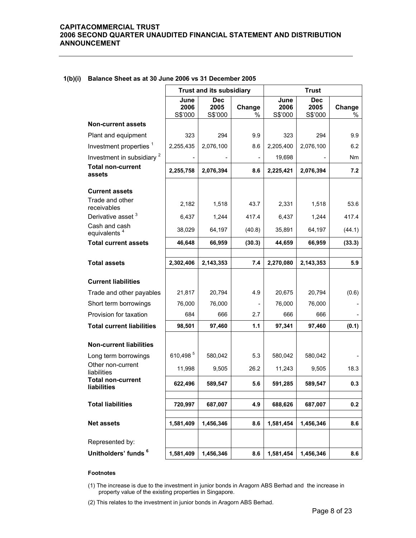|                                           |                         | <b>Trust and its subsidiary</b> |                |                         | <b>Trust</b>                  |                |
|-------------------------------------------|-------------------------|---------------------------------|----------------|-------------------------|-------------------------------|----------------|
|                                           | June<br>2006<br>S\$'000 | <b>Dec</b><br>2005<br>S\$'000   | Change<br>$\%$ | June<br>2006<br>S\$'000 | <b>Dec</b><br>2005<br>S\$'000 | Change<br>$\%$ |
| <b>Non-current assets</b>                 |                         |                                 |                |                         |                               |                |
| Plant and equipment                       | 323                     | 294                             | 9.9            | 323                     | 294                           | 9.9            |
| Investment properties <sup>1</sup>        | 2,255,435               | 2,076,100                       | 8.6            | 2,205,400               | 2,076,100                     | 6.2            |
| Investment in subsidiary <sup>2</sup>     |                         |                                 |                | 19,698                  |                               | Nm             |
| <b>Total non-current</b><br>assets        | 2,255,758               | 2,076,394                       | 8.6            | 2,225,421               | 2,076,394                     | 7.2            |
| <b>Current assets</b>                     |                         |                                 |                |                         |                               |                |
| Trade and other<br>receivables            | 2,182                   | 1,518                           | 43.7           | 2,331                   | 1,518                         | 53.6           |
| Derivative asset <sup>3</sup>             | 6,437                   | 1,244                           | 417.4          | 6,437                   | 1,244                         | 417.4          |
| Cash and cash<br>equivalents <sup>4</sup> | 38,029                  | 64,197                          | (40.8)         | 35,891                  | 64,197                        | (44.1)         |
| <b>Total current assets</b>               | 46,648                  | 66,959                          | (30.3)         | 44,659                  | 66,959                        | (33.3)         |
|                                           |                         |                                 |                |                         |                               |                |
| <b>Total assets</b>                       | 2,302,406               | 2,143,353                       | 7.4            | 2,270,080               | 2,143,353                     | 5.9            |
| <b>Current liabilities</b>                |                         |                                 |                |                         |                               |                |
| Trade and other payables                  | 21,817                  | 20,794                          | 4.9            | 20,675                  | 20,794                        | (0.6)          |
| Short term borrowings                     | 76,000                  | 76,000                          |                | 76,000                  | 76,000                        |                |
| Provision for taxation                    | 684                     | 666                             | 2.7            | 666                     | 666                           |                |
| <b>Total current liabilities</b>          | 98,501                  | 97,460                          | 1.1            | 97,341                  | 97,460                        | (0.1)          |
| <b>Non-current liabilities</b>            |                         |                                 |                |                         |                               |                |
| Long term borrowings                      | 610,498 $5$             | 580,042                         | 5.3            | 580.042                 | 580.042                       |                |
| Other non-current<br>liabilities          | 11,998                  | 9,505                           | 26.2           | 11,243                  | 9,505                         | 18.3           |
| <b>Total non-current</b><br>liabilities   | 622,496                 | 589,547                         | 5.6            | 591,285                 | 589,547                       | 0.3            |
| <b>Total liabilities</b>                  | 720,997                 | 687,007                         | 4.9            | 688,626                 | 687,007                       | 0.2            |
| <b>Net assets</b>                         | 1,581,409               | 1,456,346                       | 8.6            | 1,581,454               | 1,456,346                     | 8.6            |
| Represented by:                           |                         |                                 |                |                         |                               |                |
| Unitholders' funds 6                      | 1,581,409               | 1,456,346                       | 8.6            | 1,581,454               | 1,456,346                     | 8.6            |

#### **1(b)(i) Balance Sheet as at 30 June 2006 vs 31 December 2005**

#### **Footnotes**

(1) The increase is due to the investment in junior bonds in Aragorn ABS Berhad and the increase in property value of the existing properties in Singapore.

(2) This relates to the investment in junior bonds in Aragorn ABS Berhad.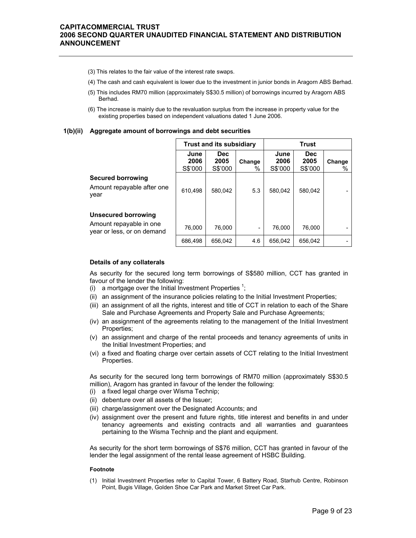- (3) This relates to the fair value of the interest rate swaps.
- (4) The cash and cash equivalent is lower due to the investment in junior bonds in Aragorn ABS Berhad.
- (5) This includes RM70 million (approximately S\$30.5 million) of borrowings incurred by Aragorn ABS Berhad.
- (6) The increase is mainly due to the revaluation surplus from the increase in property value for the existing properties based on independent valuations dated 1 June 2006.

#### **1(b)(ii) Aggregate amount of borrowings and debt securities**

|                                                                              | <b>Trust and its subsidiary</b> |                               |                          | <b>Trust</b>            |                               |                |
|------------------------------------------------------------------------------|---------------------------------|-------------------------------|--------------------------|-------------------------|-------------------------------|----------------|
|                                                                              | June<br>2006<br>S\$'000         | <b>Dec</b><br>2005<br>S\$'000 | Change<br>%              | June<br>2006<br>S\$'000 | <b>Dec</b><br>2005<br>S\$'000 | Change<br>$\%$ |
| <b>Secured borrowing</b><br>Amount repayable after one<br>year               | 610.498                         | 580.042                       | 5.3                      | 580.042                 | 580.042                       |                |
| Unsecured borrowing<br>Amount repayable in one<br>year or less, or on demand | 76.000                          | 76.000                        | $\overline{\phantom{a}}$ | 76.000                  | 76.000                        |                |
|                                                                              | 686.498                         | 656,042                       | 4.6                      | 656.042                 | 656.042                       |                |

#### **Details of any collaterals**

As security for the secured long term borrowings of S\$580 million, CCT has granted in favour of the lender the following:

- (i) a mortgage over the Initial Investment Properties  $1$ ;
- (ii) an assignment of the insurance policies relating to the Initial Investment Properties;
- (iii) an assignment of all the rights, interest and title of CCT in relation to each of the Share Sale and Purchase Agreements and Property Sale and Purchase Agreements;
- (iv) an assignment of the agreements relating to the management of the Initial Investment Properties;
- (v) an assignment and charge of the rental proceeds and tenancy agreements of units in the Initial Investment Properties; and
- (vi) a fixed and floating charge over certain assets of CCT relating to the Initial Investment Properties.

As security for the secured long term borrowings of RM70 million (approximately S\$30.5 million), Aragorn has granted in favour of the lender the following:

- (i) a fixed legal charge over Wisma Technip;
- (ii) debenture over all assets of the Issuer;
- (iii) charge/assignment over the Designated Accounts; and
- (iv) assignment over the present and future rights, title interest and benefits in and under tenancy agreements and existing contracts and all warranties and guarantees pertaining to the Wisma Technip and the plant and equipment.

As security for the short term borrowings of S\$76 million, CCT has granted in favour of the lender the legal assignment of the rental lease agreement of HSBC Building.

#### **Footnote**

(1) Initial Investment Properties refer to Capital Tower, 6 Battery Road, Starhub Centre, Robinson Point, Bugis Village, Golden Shoe Car Park and Market Street Car Park.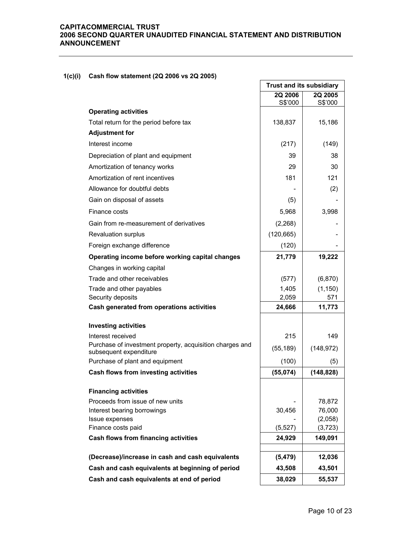## **1(c)(i) Cash flow statement (2Q 2006 vs 2Q 2005)**

| <b>Dasii HOW Statement (2W 2000 VS 2W 2000)</b>                                    |                                 |                    |
|------------------------------------------------------------------------------------|---------------------------------|--------------------|
|                                                                                    | <b>Trust and its subsidiary</b> |                    |
|                                                                                    | 2Q 2006<br>S\$'000              | 2Q 2005<br>S\$'000 |
| <b>Operating activities</b>                                                        |                                 |                    |
| Total return for the period before tax                                             | 138,837                         | 15,186             |
| <b>Adjustment for</b>                                                              |                                 |                    |
| Interest income                                                                    | (217)                           | (149)              |
| Depreciation of plant and equipment                                                | 39                              | 38                 |
| Amortization of tenancy works                                                      | 29                              | 30                 |
| Amortization of rent incentives                                                    | 181                             | 121                |
| Allowance for doubtful debts                                                       |                                 | (2)                |
| Gain on disposal of assets                                                         | (5)                             |                    |
| Finance costs                                                                      | 5,968                           | 3,998              |
| Gain from re-measurement of derivatives                                            | (2, 268)                        |                    |
| Revaluation surplus                                                                | (120, 665)                      |                    |
| Foreign exchange difference                                                        | (120)                           |                    |
| Operating income before working capital changes                                    | 21,779                          | 19,222             |
| Changes in working capital                                                         |                                 |                    |
| Trade and other receivables                                                        | (577)                           | (6, 870)           |
| Trade and other payables                                                           | 1,405                           | (1, 150)           |
| Security deposits                                                                  | 2,059                           | 571                |
| Cash generated from operations activities                                          | 24,666                          | 11,773             |
| <b>Investing activities</b>                                                        |                                 |                    |
| Interest received                                                                  | 215                             | 149                |
| Purchase of investment property, acquisition charges and<br>subsequent expenditure | (55, 189)                       | (148, 972)         |
| Purchase of plant and equipment                                                    | (100)                           | (5)                |
| Cash flows from investing activities                                               | (55, 074)                       | (148, 828)         |
| <b>Financing activities</b>                                                        |                                 |                    |
| Proceeds from issue of new units                                                   |                                 | 78,872             |
| Interest bearing borrowings                                                        | 30,456                          | 76,000             |
| Issue expenses                                                                     |                                 | (2,058)            |
| Finance costs paid                                                                 | (5, 527)                        | (3, 723)           |
| Cash flows from financing activities                                               | 24,929                          | 149,091            |
| (Decrease)/increase in cash and cash equivalents                                   | (5, 479)                        | 12,036             |
| Cash and cash equivalents at beginning of period                                   | 43,508                          | 43,501             |
| Cash and cash equivalents at end of period                                         | 38,029                          | 55,537             |
|                                                                                    |                                 |                    |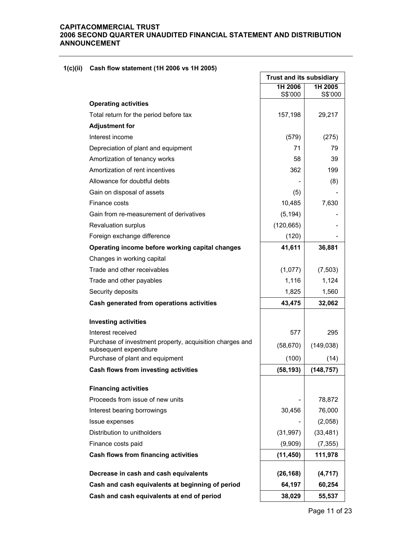## **1(c)(ii) Cash flow statement (1H 2006 vs 1H 2005)**

|                                                                                    | <b>Trust and its subsidiary</b> |                    |
|------------------------------------------------------------------------------------|---------------------------------|--------------------|
|                                                                                    | 1H 2006<br>S\$'000              | 1H 2005<br>S\$'000 |
| <b>Operating activities</b>                                                        |                                 |                    |
| Total return for the period before tax                                             | 157,198                         | 29,217             |
| <b>Adjustment for</b>                                                              |                                 |                    |
| Interest income                                                                    | (579)                           | (275)              |
| Depreciation of plant and equipment                                                | 71                              | 79                 |
| Amortization of tenancy works                                                      | 58                              | 39                 |
| Amortization of rent incentives                                                    | 362                             | 199                |
| Allowance for doubtful debts                                                       |                                 | (8)                |
| Gain on disposal of assets                                                         | (5)                             |                    |
| Finance costs                                                                      | 10,485                          | 7,630              |
| Gain from re-measurement of derivatives                                            | (5, 194)                        |                    |
| <b>Revaluation surplus</b>                                                         | (120, 665)                      |                    |
| Foreign exchange difference                                                        | (120)                           |                    |
| Operating income before working capital changes                                    | 41,611                          | 36,881             |
| Changes in working capital                                                         |                                 |                    |
| Trade and other receivables                                                        | (1,077)                         | (7, 503)           |
| Trade and other payables                                                           | 1,116                           | 1,124              |
| Security deposits                                                                  | 1,825                           | 1,560              |
| Cash generated from operations activities                                          | 43,475                          | 32,062             |
| <b>Investing activities</b>                                                        |                                 |                    |
| Interest received                                                                  | 577                             | 295                |
| Purchase of investment property, acquisition charges and<br>subsequent expenditure | (58, 670)                       | (149, 038)         |
| Purchase of plant and equipment                                                    | (100)                           | (14)               |
| Cash flows from investing activities                                               | (58, 193)                       | (148, 757)         |
| <b>Financing activities</b>                                                        |                                 |                    |
| Proceeds from issue of new units                                                   |                                 | 78,872             |
| Interest bearing borrowings                                                        | 30,456                          | 76,000             |
| Issue expenses                                                                     |                                 | (2,058)            |
| Distribution to unitholders                                                        | (31, 997)                       | (33, 481)          |
| Finance costs paid                                                                 | (9,909)                         | (7, 355)           |
| Cash flows from financing activities                                               | (11, 450)                       | 111,978            |
| Decrease in cash and cash equivalents                                              | (26, 168)                       | (4,717)            |
| Cash and cash equivalents at beginning of period                                   | 64,197                          | 60,254             |
| Cash and cash equivalents at end of period                                         | 38,029                          | 55,537             |

 $\overline{\phantom{0}}$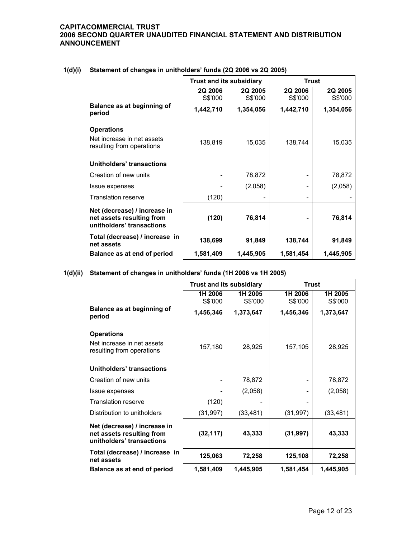|                                                                                        | <b>Trust and its subsidiary</b> |                    | <b>Trust</b>             |                    |
|----------------------------------------------------------------------------------------|---------------------------------|--------------------|--------------------------|--------------------|
|                                                                                        | 2Q 2006<br>S\$'000              | 2Q 2005<br>S\$'000 | 2Q 2006<br>S\$'000       | 2Q 2005<br>S\$'000 |
| Balance as at beginning of<br>period                                                   | 1,442,710                       | 1,354,056          | 1,442,710                | 1,354,056          |
| <b>Operations</b>                                                                      |                                 |                    |                          |                    |
| Net increase in net assets<br>resulting from operations                                | 138,819                         | 15,035             | 138,744                  | 15,035             |
| Unitholders' transactions                                                              |                                 |                    |                          |                    |
| Creation of new units                                                                  |                                 | 78,872             |                          | 78,872             |
| Issue expenses                                                                         |                                 | (2,058)            |                          | (2,058)            |
| <b>Translation reserve</b>                                                             | (120)                           |                    | $\overline{\phantom{a}}$ |                    |
| Net (decrease) / increase in<br>net assets resulting from<br>unitholders' transactions | (120)                           | 76,814             |                          | 76,814             |
| Total (decrease) / increase in<br>net assets                                           | 138,699                         | 91,849             | 138,744                  | 91,849             |
| Balance as at end of period                                                            | 1,581,409                       | 1,445,905          | 1,581,454                | 1,445,905          |

#### **1(d)(i) Statement of changes in unitholders' funds (2Q 2006 vs 2Q 2005)**

## **1(d)(ii) Statement of changes in unitholders' funds (1H 2006 vs 1H 2005)**

|                                                                                        | <b>Trust and its subsidiary</b> |                    | <b>Trust</b>       |                    |
|----------------------------------------------------------------------------------------|---------------------------------|--------------------|--------------------|--------------------|
|                                                                                        | 1H 2006<br>S\$'000              | 1H 2005<br>S\$'000 | 1H 2006<br>S\$'000 | 1H 2005<br>S\$'000 |
| Balance as at beginning of<br>period                                                   | 1,456,346                       | 1,373,647          | 1,456,346          | 1,373,647          |
| <b>Operations</b>                                                                      |                                 |                    |                    |                    |
| Net increase in net assets<br>resulting from operations                                | 157,180                         | 28,925             | 157,105            | 28,925             |
| Unitholders' transactions                                                              |                                 |                    |                    |                    |
| Creation of new units                                                                  |                                 | 78,872             |                    | 78,872             |
| Issue expenses                                                                         |                                 | (2,058)            |                    | (2,058)            |
| <b>Translation reserve</b>                                                             | (120)                           |                    |                    |                    |
| Distribution to unitholders                                                            | (31, 997)                       | (33, 481)          | (31, 997)          | (33, 481)          |
| Net (decrease) / increase in<br>net assets resulting from<br>unitholders' transactions | (32, 117)                       | 43,333             | (31, 997)          | 43,333             |
| Total (decrease) / increase in<br>net assets                                           | 125,063                         | 72,258             | 125,108            | 72,258             |
| Balance as at end of period                                                            | 1,581,409                       | 1,445,905          | 1,581,454          | 1,445,905          |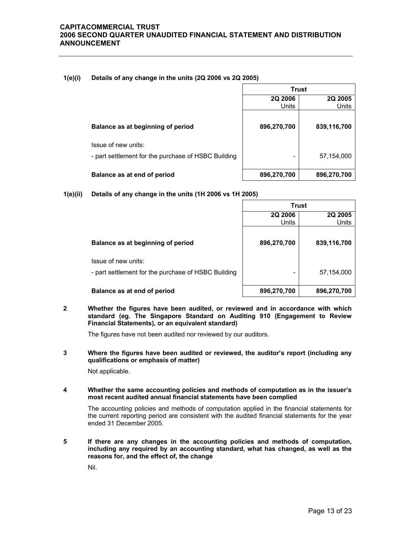#### **1(e)(i) Details of any change in the units (2Q 2006 vs 2Q 2005)**

|                                                                            | Trust                   |                         |  |
|----------------------------------------------------------------------------|-------------------------|-------------------------|--|
|                                                                            | 2Q 2006<br><b>Units</b> | 2Q 2005<br><b>Units</b> |  |
| Balance as at beginning of period                                          | 896,270,700             | 839,116,700             |  |
| Issue of new units:<br>- part settlement for the purchase of HSBC Building |                         | 57,154,000              |  |
| Balance as at end of period                                                | 896,270,700             | 896,270,700             |  |

## **1(e)(ii) Details of any change in the units (1H 2006 vs 1H 2005)**

|                                                                            | <b>Trust</b>            |                  |  |
|----------------------------------------------------------------------------|-------------------------|------------------|--|
|                                                                            | 2Q 2006<br><b>Units</b> | 2Q 2005<br>Units |  |
| Balance as at beginning of period                                          | 896,270,700             | 839,116,700      |  |
| Issue of new units:<br>- part settlement for the purchase of HSBC Building | -                       | 57,154,000       |  |
| Balance as at end of period                                                | 896,270,700             | 896,270,700      |  |

**2 Whether the figures have been audited, or reviewed and in accordance with which standard (eg. The Singapore Standard on Auditing 910 (Engagement to Review Financial Statements), or an equivalent standard)** 

The figures have not been audited nor reviewed by our auditors.

**3 Where the figures have been audited or reviewed, the auditor's report (including any qualifications or emphasis of matter)** 

Not applicable.

**4 Whether the same accounting policies and methods of computation as in the issuer's most recent audited annual financial statements have been complied** 

The accounting policies and methods of computation applied in the financial statements for the current reporting period are consistent with the audited financial statements for the year ended 31 December 2005.

**5 If there are any changes in the accounting policies and methods of computation, including any required by an accounting standard, what has changed, as well as the reasons for, and the effect of, the change** 

Nil.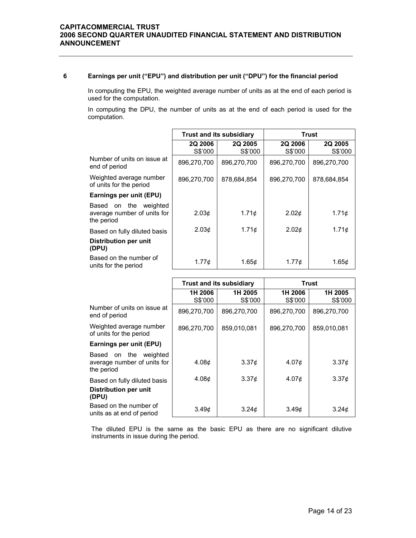#### **6 Earnings per unit ("EPU") and distribution per unit ("DPU") for the financial period**

In computing the EPU, the weighted average number of units as at the end of each period is used for the computation.

In computing the DPU, the number of units as at the end of each period is used for the computation.

|                                                                    | <b>Trust and its subsidiary</b> |                           | Trust                     |                    |
|--------------------------------------------------------------------|---------------------------------|---------------------------|---------------------------|--------------------|
|                                                                    | <b>2Q 2006</b><br>S\$'000       | <b>2Q 2005</b><br>S\$'000 | <b>2Q 2006</b><br>S\$'000 | 2Q 2005<br>S\$'000 |
| Number of units on issue at<br>end of period                       | 896,270,700                     | 896,270,700               | 896,270,700               | 896,270,700        |
| Weighted average number<br>of units for the period                 | 896,270,700                     | 878,684,854               | 896,270,700               | 878,684,854        |
| Earnings per unit (EPU)                                            |                                 |                           |                           |                    |
| Based on the weighted<br>average number of units for<br>the period | 2.03 <sub>c</sub>               | 1.71 <sub>c</sub>         | 2.02 <sub>c</sub>         | 1.71c              |
| Based on fully diluted basis                                       | 2.03 <sub>c</sub>               | 1.71 <sub>c</sub>         | 2.02 <sub>0</sub>         | 1.71¢              |
| Distribution per unit<br>(DPU)                                     |                                 |                           |                           |                    |
| Based on the number of<br>units for the period                     | 1.77¢                           | 1.65¢                     | $1.77\sigma$              | 1.65c              |

|                                                                             | <b>Trust and its subsidiary</b> |                    | Trust              |                    |
|-----------------------------------------------------------------------------|---------------------------------|--------------------|--------------------|--------------------|
|                                                                             | 1H 2006<br>S\$'000              | 1H 2005<br>S\$'000 | 1H 2006<br>S\$'000 | 1H 2005<br>S\$'000 |
| Number of units on issue at<br>end of period                                | 896,270,700                     | 896,270,700        | 896,270,700        | 896,270,700        |
| Weighted average number<br>of units for the period                          | 896,270,700                     | 859,010,081        | 896.270.700        | 859,010,081        |
| Earnings per unit (EPU)                                                     |                                 |                    |                    |                    |
| the<br>weighted<br>Based<br>on<br>average number of units for<br>the period | 4.08 <sub>c</sub>               | 3.37 <sub>c</sub>  | 4.07 <sub>¢</sub>  | $3.37\phi$         |
| Based on fully diluted basis                                                | 4.08 <sub>c</sub>               | 3.37 <sub>c</sub>  | 4.07 <sub>¢</sub>  | $3.37\phi$         |
| Distribution per unit<br>(DPU)                                              |                                 |                    |                    |                    |
| Based on the number of<br>units as at end of period                         | 3.49c                           | 3.24 <sub>c</sub>  | 3.49c              | 3.24 <sub>0</sub>  |

The diluted EPU is the same as the basic EPU as there are no significant dilutive instruments in issue during the period.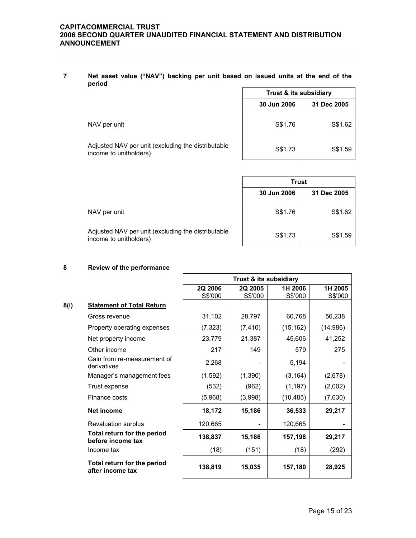**7 Net asset value ("NAV") backing per unit based on issued units at the end of the period** 

|                                                                              | Trust & its subsidiary     |         |  |
|------------------------------------------------------------------------------|----------------------------|---------|--|
|                                                                              | 30 Jun 2006<br>31 Dec 2005 |         |  |
| NAV per unit                                                                 | S\$1.76                    | S\$1.62 |  |
| Adjusted NAV per unit (excluding the distributable<br>income to unitholders) | S\$1.73                    | S\$1.59 |  |

|                                                                              | <b>Trust</b>               |         |  |
|------------------------------------------------------------------------------|----------------------------|---------|--|
|                                                                              | 30 Jun 2006<br>31 Dec 2005 |         |  |
| NAV per unit                                                                 | S\$1.76                    | S\$1.62 |  |
| Adjusted NAV per unit (excluding the distributable<br>income to unitholders) | S\$1.73                    | S\$1.59 |  |

#### **8 Review of the performance**

|      |                                                  | Trust & its subsidiary |          |           |          |
|------|--------------------------------------------------|------------------------|----------|-----------|----------|
|      |                                                  | 2Q 2006                | 2Q 2005  | 1H 2006   | 1H 2005  |
|      |                                                  | S\$'000                | S\$'000  | S\$'000   | S\$'000  |
| 8(i) | <b>Statement of Total Return</b>                 |                        |          |           |          |
|      | Gross revenue                                    | 31,102                 | 28,797   | 60,768    | 56,238   |
|      | Property operating expenses                      | (7, 323)               | (7, 410) | (15, 162) | (14,986) |
|      | Net property income                              | 23,779                 | 21,387   | 45,606    | 41,252   |
|      | Other income                                     | 217                    | 149      | 579       | 275      |
|      | Gain from re-measurement of<br>derivatives       | 2,268                  |          | 5,194     |          |
|      | Manager's management fees                        | (1, 592)               | (1, 390) | (3, 164)  | (2,678)  |
|      | Trust expense                                    | (532)                  | (962)    | (1, 197)  | (2,002)  |
|      | Finance costs                                    | (5,968)                | (3,998)  | (10, 485) | (7,630)  |
|      | Net income                                       | 18,172                 | 15,186   | 36,533    | 29,217   |
|      | Revaluation surplus                              | 120,665                |          | 120,665   |          |
|      | Total return for the period<br>before income tax | 138,837                | 15,186   | 157,198   | 29,217   |
|      | Income tax                                       | (18)                   | (151)    | (18)      | (292)    |
|      | Total return for the period<br>after income tax  | 138,819                | 15,035   | 157,180   | 28,925   |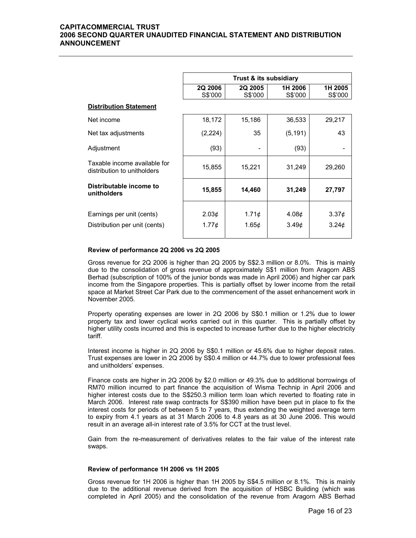|                                                             | Trust & its subsidiary |             |            |            |  |
|-------------------------------------------------------------|------------------------|-------------|------------|------------|--|
|                                                             |                        |             |            |            |  |
|                                                             | <b>2Q 2006</b>         | 2Q 2005     | 1H 2006    | 1H 2005    |  |
|                                                             | S\$'000                | S\$'000     | S\$'000    | S\$'000    |  |
| <b>Distribution Statement</b>                               |                        |             |            |            |  |
| Net income                                                  | 18,172                 | 15,186      | 36,533     | 29,217     |  |
| Net tax adjustments                                         | (2, 224)               | 35          | (5, 191)   | 43         |  |
| Adjustment                                                  | (93)                   |             | (93)       |            |  |
| Taxable income available for<br>distribution to unitholders | 15,855                 | 15,221      | 31,249     | 29,260     |  |
| Distributable income to<br>unitholders                      | 15,855                 | 14,460      | 31,249     | 27,797     |  |
|                                                             |                        |             |            |            |  |
| Earnings per unit (cents)                                   | 2.03¢                  | 1.71¢       | 4.08¢      | $3.37\phi$ |  |
| Distribution per unit (cents)                               | $1.77\phi$             | 1.65 $\phi$ | $3.49\ell$ | $3.24\phi$ |  |
|                                                             |                        |             |            |            |  |

#### **Review of performance 2Q 2006 vs 2Q 2005**

 Gross revenue for 2Q 2006 is higher than 2Q 2005 by S\$2.3 million or 8.0%. This is mainly due to the consolidation of gross revenue of approximately S\$1 million from Aragorn ABS Berhad (subscription of 100% of the junior bonds was made in April 2006) and higher car park income from the Singapore properties. This is partially offset by lower income from the retail space at Market Street Car Park due to the commencement of the asset enhancement work in November 2005.

Property operating expenses are lower in 2Q 2006 by S\$0.1 million or 1.2% due to lower property tax and lower cyclical works carried out in this quarter. This is partially offset by higher utility costs incurred and this is expected to increase further due to the higher electricity tariff.

Interest income is higher in 2Q 2006 by S\$0.1 million or 45.6% due to higher deposit rates. Trust expenses are lower in 2Q 2006 by S\$0.4 million or 44.7% due to lower professional fees and unitholders' expenses.

Finance costs are higher in 2Q 2006 by \$2.0 million or 49.3% due to additional borrowings of RM70 million incurred to part finance the acquisition of Wisma Technip in April 2006 and higher interest costs due to the S\$250.3 million term loan which reverted to floating rate in March 2006. Interest rate swap contracts for S\$390 million have been put in place to fix the interest costs for periods of between 5 to 7 years, thus extending the weighted average term to expiry from 4.1 years as at 31 March 2006 to 4.8 years as at 30 June 2006. This would result in an average all-in interest rate of 3.5% for CCT at the trust level.

Gain from the re-measurement of derivatives relates to the fair value of the interest rate swaps.

#### **Review of performance 1H 2006 vs 1H 2005**

 Gross revenue for 1H 2006 is higher than 1H 2005 by S\$4.5 million or 8.1%. This is mainly due to the additional revenue derived from the acquisition of HSBC Building (which was completed in April 2005) and the consolidation of the revenue from Aragorn ABS Berhad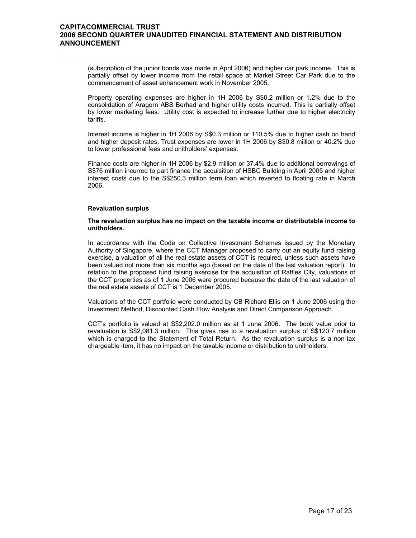(subscription of the junior bonds was made in April 2006) and higher car park income. This is partially offset by lower income from the retail space at Market Street Car Park due to the commencement of asset enhancement work in November 2005.

Property operating expenses are higher in 1H 2006 by S\$0.2 million or 1.2% due to the consolidation of Aragorn ABS Berhad and higher utility costs incurred. This is partially offset by lower marketing fees. Utility cost is expected to increase further due to higher electricity tariffs.

Interest income is higher in 1H 2006 by S\$0.3 million or 110.5% due to higher cash on hand and higher deposit rates. Trust expenses are lower in 1H 2006 by S\$0.8 million or 40.2% due to lower professional fees and unitholders' expenses.

Finance costs are higher in 1H 2006 by \$2.9 million or 37.4% due to additional borrowings of S\$76 million incurred to part finance the acquisition of HSBC Building in April 2005 and higher interest costs due to the S\$250.3 million term loan which reverted to floating rate in March 2006.

#### **Revaluation surplus**

#### **The revaluation surplus has no impact on the taxable income or distributable income to unitholders.**

In accordance with the Code on Collective Investment Schemes issued by the Monetary Authority of Singapore, where the CCT Manager proposed to carry out an equity fund raising exercise, a valuation of all the real estate assets of CCT is required, unless such assets have been valued not more than six months ago (based on the date of the last valuation report). In relation to the proposed fund raising exercise for the acquisition of Raffles City, valuations of the CCT properties as of 1 June 2006 were procured because the date of the last valuation of the real estate assets of CCT is 1 December 2005.

Valuations of the CCT portfolio were conducted by CB Richard Ellis on 1 June 2006 using the Investment Method, Discounted Cash Flow Analysis and Direct Comparison Approach.

CCT's portfolio is valued at S\$2,202.0 million as at 1 June 2006. The book value prior to revaluation is S\$2,081.3 million. This gives rise to a revaluation surplus of S\$120.7 million which is charged to the Statement of Total Return. As the revaluation surplus is a non-tax chargeable item, it has no impact on the taxable income or distribution to unitholders.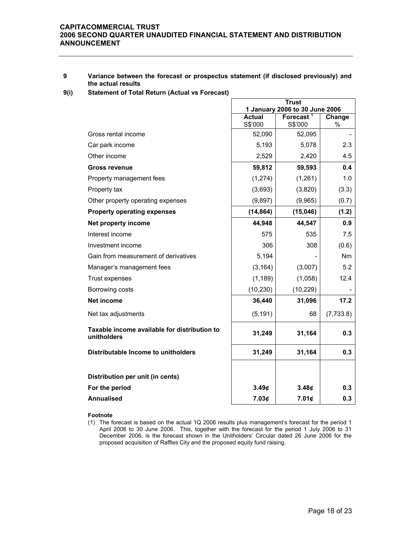#### **9 Variance between the forecast or prospectus statement (if disclosed previously) and the actual results**

**9(i) Statement of Total Return (Actual vs Forecast)** 

|                                                             | <b>Trust</b>                                                                       |                   |            |
|-------------------------------------------------------------|------------------------------------------------------------------------------------|-------------------|------------|
|                                                             | 1 January 2006 to 30 June 2006<br>Forecast <sup>1</sup><br><b>Actual</b><br>Change |                   |            |
|                                                             | S\$'000                                                                            | S\$'000           | $\%$       |
| Gross rental income                                         | 52,090                                                                             | 52,095            |            |
| Car park income                                             | 5,193                                                                              | 5,078             | 2.3        |
| Other income                                                | 2,529                                                                              | 2,420             | 4.5        |
| <b>Gross revenue</b>                                        | 59,812                                                                             | 59,593            | 0.4        |
| Property management fees                                    | (1, 274)                                                                           | (1,261)           | 1.0        |
| Property tax                                                | (3,693)                                                                            | (3,820)           | (3.3)      |
| Other property operating expenses                           | (9,897)                                                                            | (9,965)           | (0.7)      |
| <b>Property operating expenses</b>                          | (14, 864)                                                                          | (15,046)          | (1.2)      |
| Net property income                                         | 44,948                                                                             | 44,547            | 0.9        |
| Interest income                                             | 575                                                                                | 535               | 7.5        |
| Investment income                                           | 306                                                                                | 308               | (0.6)      |
| Gain from measurement of derivatives                        | 5,194                                                                              |                   | Nm         |
| Manager's management fees                                   | (3, 164)                                                                           | (3,007)           | 5.2        |
| Trust expenses                                              | (1, 189)                                                                           | (1,058)           | 12.4       |
| Borrowing costs                                             | (10, 230)                                                                          | (10, 229)         |            |
| <b>Net income</b>                                           | 36,440                                                                             | 31,096            | 17.2       |
| Net tax adjustments                                         | (5, 191)                                                                           | 68                | (7, 733.8) |
| Taxable income available for distribution to<br>unitholders | 31,249                                                                             | 31,164            | 0.3        |
| Distributable Income to unitholders                         | 31,249                                                                             | 31,164            | 0.3        |
|                                                             |                                                                                    |                   |            |
| Distribution per unit (in cents)                            |                                                                                    |                   |            |
| For the period                                              | 3.49 <sub>¢</sub>                                                                  | 3.48 <sub>¢</sub> | 0.3        |
| <b>Annualised</b>                                           | 7.03¢                                                                              | 7.01¢             | 0.3        |

#### **Footnote**

(1) The forecast is based on the actual 1Q 2006 results plus management's forecast for the period 1 April 2006 to 30 June 2006. This, together with the forecast for the period 1 July 2006 to 31 December 2006, is the forecast shown in the Unitholders' Circular dated 26 June 2006 for the proposed acquisition of Raffles City and the proposed equity fund raising.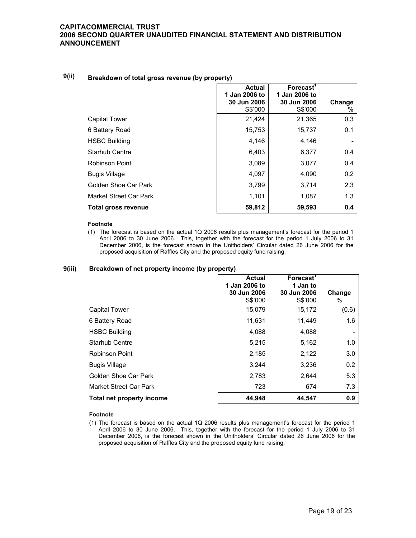## **9(ii) Breakdown of total gross revenue (by property)**

|                        | <b>Actual</b><br>1 Jan 2006 to<br>30 Jun 2006 | Forecast <sup>1</sup><br>1 Jan 2006 to<br>30 Jun 2006 | Change |
|------------------------|-----------------------------------------------|-------------------------------------------------------|--------|
|                        | S\$'000                                       | S\$'000                                               | %      |
| <b>Capital Tower</b>   | 21,424                                        | 21,365                                                | 0.3    |
| 6 Battery Road         | 15,753                                        | 15,737                                                | 0.1    |
| <b>HSBC Building</b>   | 4,146                                         | 4,146                                                 |        |
| <b>Starhub Centre</b>  | 6,403                                         | 6,377                                                 | 0.4    |
| Robinson Point         | 3,089                                         | 3,077                                                 | 0.4    |
| <b>Bugis Village</b>   | 4,097                                         | 4,090                                                 | 0.2    |
| Golden Shoe Car Park   | 3,799                                         | 3,714                                                 | 2.3    |
| Market Street Car Park | 1,101                                         | 1,087                                                 | 1.3    |
| Total gross revenue    | 59,812                                        | 59,593                                                | 0.4    |

#### **Footnote**

(1) The forecast is based on the actual 1Q 2006 results plus management's forecast for the period 1 April 2006 to 30 June 2006. This, together with the forecast for the period 1 July 2006 to 31 December 2006, is the forecast shown in the Unitholders' Circular dated 26 June 2006 for the proposed acquisition of Raffles City and the proposed equity fund raising.

#### **9(iii) Breakdown of net property income (by property)**

|                           | <b>Actual</b><br>1 Jan 2006 to | Forecast <sup>1</sup><br>1 Jan to |             |
|---------------------------|--------------------------------|-----------------------------------|-------------|
|                           | 30 Jun 2006<br>S\$'000         | 30 Jun 2006<br>S\$'000            | Change<br>% |
| Capital Tower             | 15,079                         | 15,172                            | (0.6)       |
| 6 Battery Road            | 11,631                         | 11,449                            | 1.6         |
| <b>HSBC Building</b>      | 4,088                          | 4,088                             | -           |
| <b>Starhub Centre</b>     | 5,215                          | 5,162                             | 1.0         |
| <b>Robinson Point</b>     | 2,185                          | 2,122                             | 3.0         |
| <b>Bugis Village</b>      | 3,244                          | 3,236                             | 0.2         |
| Golden Shoe Car Park      | 2,783                          | 2,644                             | 5.3         |
| Market Street Car Park    | 723                            | 674                               | 7.3         |
| Total net property income | 44,948                         | 44,547                            | 0.9         |

#### **Footnote**

(1) The forecast is based on the actual 1Q 2006 results plus management's forecast for the period 1 April 2006 to 30 June 2006. This, together with the forecast for the period 1 July 2006 to 31 December 2006, is the forecast shown in the Unitholders' Circular dated 26 June 2006 for the proposed acquisition of Raffles City and the proposed equity fund raising.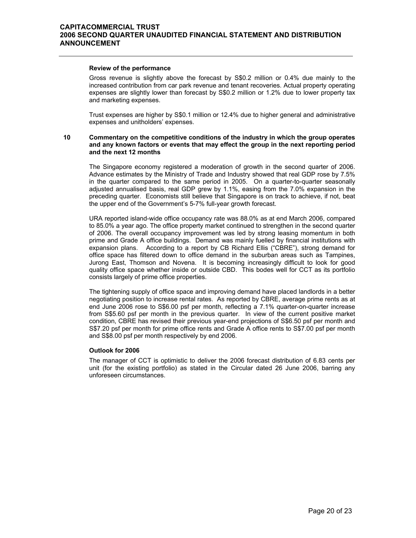#### **Review of the performance**

 Gross revenue is slightly above the forecast by S\$0.2 million or 0.4% due mainly to the increased contribution from car park revenue and tenant recoveries. Actual property operating expenses are slightly lower than forecast by S\$0.2 million or 1.2% due to lower property tax and marketing expenses.

Trust expenses are higher by S\$0.1 million or 12.4% due to higher general and administrative expenses and unitholders' expenses.

#### **10 Commentary on the competitive conditions of the industry in which the group operates and any known factors or events that may effect the group in the next reporting period and the next 12 months**

 The Singapore economy registered a moderation of growth in the second quarter of 2006. Advance estimates by the Ministry of Trade and Industry showed that real GDP rose by 7.5% in the quarter compared to the same period in 2005. On a quarter-to-quarter seasonally adjusted annualised basis, real GDP grew by 1.1%, easing from the 7.0% expansion in the preceding quarter. Economists still believe that Singapore is on track to achieve, if not, beat the upper end of the Government's 5-7% full-year growth forecast.

URA reported island-wide office occupancy rate was 88.0% as at end March 2006, compared to 85.0% a year ago. The office property market continued to strengthen in the second quarter of 2006. The overall occupancy improvement was led by strong leasing momentum in both prime and Grade A office buildings. Demand was mainly fuelled by financial institutions with expansion plans. According to a report by CB Richard Ellis ("CBRE"), strong demand for office space has filtered down to office demand in the suburban areas such as Tampines, Jurong East, Thomson and Novena. It is becoming increasingly difficult to look for good quality office space whether inside or outside CBD. This bodes well for CCT as its portfolio consists largely of prime office properties.

The tightening supply of office space and improving demand have placed landlords in a better negotiating position to increase rental rates. As reported by CBRE, average prime rents as at end June 2006 rose to S\$6.00 psf per month, reflecting a 7.1% quarter-on-quarter increase from S\$5.60 psf per month in the previous quarter. In view of the current positive market condition, CBRE has revised their previous year-end projections of S\$6.50 psf per month and S\$7.20 psf per month for prime office rents and Grade A office rents to S\$7.00 psf per month and S\$8.00 psf per month respectively by end 2006.

#### **Outlook for 2006**

 The manager of CCT is optimistic to deliver the 2006 forecast distribution of 6.83 cents per unit (for the existing portfolio) as stated in the Circular dated 26 June 2006, barring any unforeseen circumstances.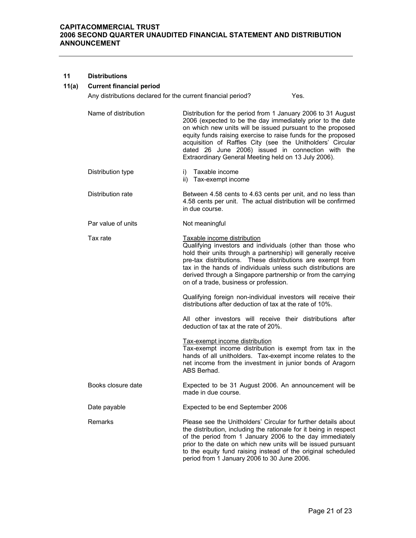#### **11 Distributions**

#### **11(a) Current financial period**

Any distributions declared for the current financial period? Yes.

- Name of distribution **Distribution** for the period from 1 January 2006 to 31 August 2006 (expected to be the day immediately prior to the date on which new units will be issued pursuant to the proposed equity funds raising exercise to raise funds for the proposed acquisition of Raffles City (see the Unitholders' Circular dated 26 June 2006) issued in connection with the Extraordinary General Meeting held on 13 July 2006).
- Distribution type i) Taxable income ii) Tax-exempt income
- Distribution rate **Between 4.58 cents to 4.63 cents per unit, and no less than** 4.58 cents per unit. The actual distribution will be confirmed in due course.
- Par value of units Not meaningful
- Tax rate Taxable income distribution Qualifying investors and individuals (other than those who hold their units through a partnership) will generally receive pre-tax distributions. These distributions are exempt from tax in the hands of individuals unless such distributions are derived through a Singapore partnership or from the carrying on of a trade, business or profession.

 Qualifying foreign non-individual investors will receive their distributions after deduction of tax at the rate of 10%.

 All other investors will receive their distributions after deduction of tax at the rate of 20%.

 Tax-exempt income distribution Tax-exempt income distribution is exempt from tax in the hands of all unitholders. Tax-exempt income relates to the net income from the investment in junior bonds of Aragorn ABS Berhad. Books closure date Expected to be 31 August 2006. An announcement will be

# Date payable **Expected to be end September 2006**

made in due course.

Remarks **Please see the Unitholders' Circular for further details about** the distribution, including the rationale for it being in respect of the period from 1 January 2006 to the day immediately prior to the date on which new units will be issued pursuant to the equity fund raising instead of the original scheduled period from 1 January 2006 to 30 June 2006.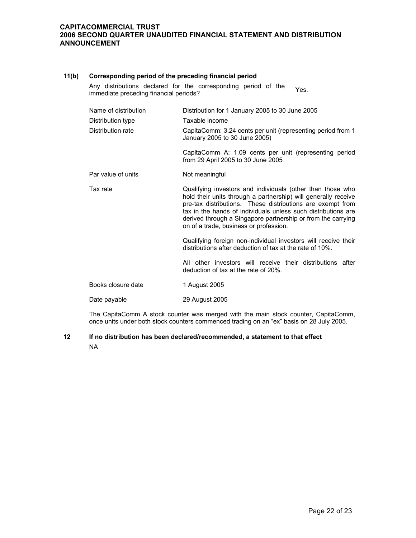#### **11(b) Corresponding period of the preceding financial period**

Any distributions declared for the corresponding period of the Any distributions declared for the corresponding period of the Yes.<br>immediate preceding financial periods?

| Name of distribution | Distribution for 1 January 2005 to 30 June 2005                                                                                                                                                                                                                                                                                                                       |
|----------------------|-----------------------------------------------------------------------------------------------------------------------------------------------------------------------------------------------------------------------------------------------------------------------------------------------------------------------------------------------------------------------|
| Distribution type    | Taxable income                                                                                                                                                                                                                                                                                                                                                        |
| Distribution rate    | CapitaComm: 3.24 cents per unit (representing period from 1<br>January 2005 to 30 June 2005)                                                                                                                                                                                                                                                                          |
|                      | CapitaComm A: 1.09 cents per unit (representing period<br>from 29 April 2005 to 30 June 2005                                                                                                                                                                                                                                                                          |
| Par value of units   | Not meaningful                                                                                                                                                                                                                                                                                                                                                        |
| Tax rate             | Qualifying investors and individuals (other than those who<br>hold their units through a partnership) will generally receive<br>pre-tax distributions. These distributions are exempt from<br>tax in the hands of individuals unless such distributions are<br>derived through a Singapore partnership or from the carrying<br>on of a trade, business or profession. |
|                      | Qualifying foreign non-individual investors will receive their<br>distributions after deduction of tax at the rate of 10%.                                                                                                                                                                                                                                            |
|                      | All other investors will receive their distributions after<br>deduction of tax at the rate of 20%.                                                                                                                                                                                                                                                                    |
| Books closure date   | 1 August 2005                                                                                                                                                                                                                                                                                                                                                         |
| Date payable         | 29 August 2005                                                                                                                                                                                                                                                                                                                                                        |
|                      |                                                                                                                                                                                                                                                                                                                                                                       |

 The CapitaComm A stock counter was merged with the main stock counter, CapitaComm, once units under both stock counters commenced trading on an "ex" basis on 28 July 2005.

## **12 If no distribution has been declared/recommended, a statement to that effect**  NA